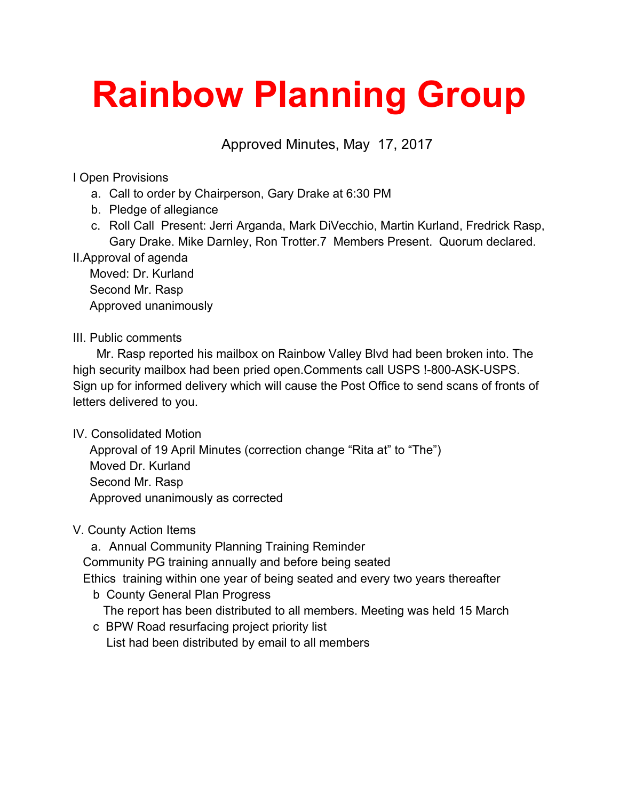# **Rainbow Planning Group**

Approved Minutes, May 17, 2017

I Open Provisions

- a. Call to order by Chairperson, Gary Drake at 6:30 PM
- b. Pledge of allegiance
- c. Roll Call Present: Jerri Arganda, Mark DiVecchio, Martin Kurland, Fredrick Rasp, Gary Drake. Mike Darnley, Ron Trotter.7 Members Present. Quorum declared.

II.Approval of agenda

 Moved: Dr. Kurland Second Mr. Rasp Approved unanimously

## III. Public comments

 Mr. Rasp reported his mailbox on Rainbow Valley Blvd had been broken into. The high security mailbox had been pried open.Comments call USPS !-800-ASK-USPS. Sign up for informed delivery which will cause the Post Office to send scans of fronts of letters delivered to you.

IV. Consolidated Motion

 Approval of 19 April Minutes (correction change "Rita at" to "The") Moved Dr. Kurland Second Mr. Rasp Approved unanimously as corrected

## V. County Action Items

a. Annual Community Planning Training Reminder Community PG training annually and before being seated Ethics training within one year of being seated and every two years thereafter

- b County General Plan Progress The report has been distributed to all members. Meeting was held 15 March
	- c BPW Road resurfacing project priority list

List had been distributed by email to all members